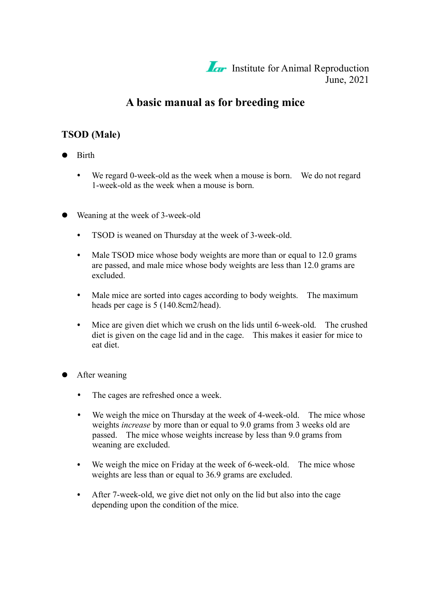

# **A basic manual as for breeding mice**

#### **TSOD (Male)**

- Birth
	- $\bullet$ We regard 0-week-old as the week when a mouse is born. We do not regard 1-week-old as the week when a mouse is born.
- Weaning at the week of 3-week-old
	- $\bullet$ TSOD is weaned on Thursday at the week of 3-week-old.
	- $\bullet$ Male TSOD mice whose body weights are more than or equal to 12.0 grams are passed, and male mice whose body weights are less than 12.0 grams are excluded.
	- Male mice are sorted into cages according to body weights. The maximum  $\bullet$ heads per cage is 5 (140.8cm2/head).
	- Mice are given diet which we crush on the lids until 6-week-old. The crushed  $\bullet$ diet is given on the cage lid and in the cage. This makes it easier for mice to eat diet.
- After weaning
	- $\bullet$ The cages are refreshed once a week.
	- $\bullet$ We weigh the mice on Thursday at the week of 4-week-old. The mice whose weights *increase* by more than or equal to 9.0 grams from 3 weeks old are passed. The mice whose weights increase by less than 9.0 grams from weaning are excluded.
	- We weigh the mice on Friday at the week of 6-week-old. The mice whose  $\bullet$ weights are less than or equal to 36.9 grams are excluded.
	- After 7-week-old, we give diet not only on the lid but also into the cage  $\bullet$ depending upon the condition of the mice.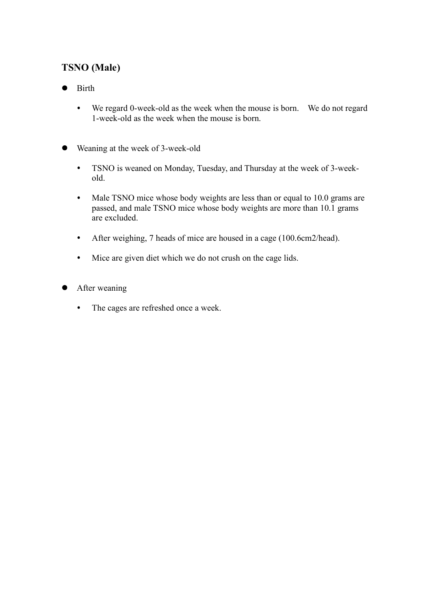# **TSNO (Male)**

- Birth  $\bullet$ 
	- $\bullet$ We regard 0-week-old as the week when the mouse is born. We do not regard 1-week-old as the week when the mouse is born.
- Weaning at the week of 3-week-old  $\bullet$ 
	- TSNO is weaned on Monday, Tuesday, and Thursday at the week of 3-week- $\bullet$ old.
	- $\bullet$  . Male TSNO mice whose body weights are less than or equal to 10.0 grams are passed, and male TSNO mice whose body weights are more than 10.1 grams are excluded.
	- After weighing, 7 heads of mice are housed in a cage (100.6cm2/head).  $\bullet$
	- Mice are given diet which we do not crush on the cage lids.  $\bullet$
- After weaning
	- The cages are refreshed once a week. $\bullet$